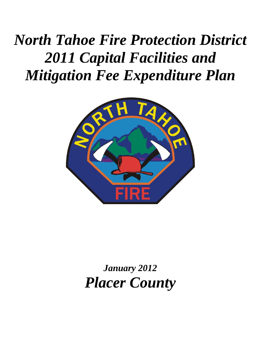*North Tahoe Fire Protection District 2011 Capital Facilities and Mitigation Fee Expenditure Plan* 



*January 2012 Placer County*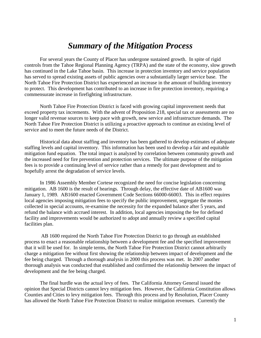### *Summary of the Mitigation Process*

For several years the County of Placer has undergone sustained growth. In spite of rigid controls from the Tahoe Regional Planning Agency (TRPA) and the state of the economy, slow growth has continued in the Lake Tahoe basin. This increase in protection inventory and service population has served to spread existing assets of public agencies over a substantially larger service base. The North Tahoe Fire Protection District has experienced an increase in the amount of building inventory to protect. This development has contributed to an increase in fire protection inventory, requiring a commensurate increase in firefighting infrastructure.

North Tahoe Fire Protection District is faced with growing capital improvement needs that exceed property tax increments. With the advent of Proposition 218, special tax or assessments are no longer valid revenue sources to keep pace with growth, new service and infrastructure demands. The North Tahoe Fire Protection District is utilizing a proactive approach to continue an existing level of service and to meet the future needs of the District.

Historical data about staffing and inventory has been gathered to develop estimates of adequate staffing levels and capital inventory. This information has been used to develop a fair and equitable mitigation fund equation. The total impact is analyzed by correlation between community growth and the increased need for fire prevention and protection services. The ultimate purpose of the mitigation fees is to provide a continuing level of service rather than a remedy for past development and to hopefully arrest the degradation of service levels.

In 1986 Assembly Member Cortese recognized the need for concise legislation concerning mitigation. AB 1600 is the result of hearings. Through delay, the effective date of AB1600 was January 1, 1989. AB1600 enacted Government Code Sections 66000-66003. This in effect requires local agencies imposing mitigation fees to specify the public improvement, segregate the monies collected in special accounts, re-examine the necessity for the expanded balance after 5 years, and refund the balance with accrued interest. In addition, local agencies imposing the fee for defined facility and improvements would be authorized to adopt and annually review a specified capital facilities plan.

AB 1600 required the North Tahoe Fire Protection District to go through an established process to enact a reasonable relationship between a development fee and the specified improvement that it will be used for. In simple terms, the North Tahoe Fire Protection District cannot arbitrarily charge a mitigation fee without first showing the relationship between impact of development and the fee being charged. Through a thorough analysis in 2000 this process was met. In 2007 another thorough analysis was conducted that established and confirmed the relationship between the impact of development and the fee being charged.

The final hurdle was the actual levy of fees. The California Attorney General issued the opinion that Special Districts cannot levy mitigation fees. However, the California Constitution allows Counties and Cities to levy mitigation fees. Through this process and by Resolution, Placer County has allowed the North Tahoe Fire Protection District to realize mitigation revenues. Currently the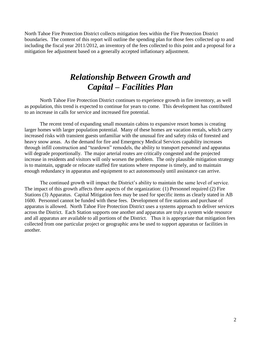North Tahoe Fire Protection District collects mitigation fees within the Fire Protection District boundaries. The content of this report will outline the spending plan for those fees collected up to and including the fiscal year 2011/2012, an inventory of the fees collected to this point and a proposal for a mitigation fee adjustment based on a generally accepted inflationary adjustment.

## *Relationship Between Growth and Capital – Facilities Plan*

North Tahoe Fire Protection District continues to experience growth in fire inventory, as well as population, this trend is expected to continue for years to come. This development has contributed to an increase in calls for service and increased fire potential.

The recent trend of expanding small mountain cabins to expansive resort homes is creating larger homes with larger population potential. Many of these homes are vacation rentals, which carry increased risks with transient guests unfamiliar with the unusual fire and safety risks of forested and heavy snow areas. As the demand for fire and Emergency Medical Services capability increases through infill construction and "teardown" remodels, the ability to transport personnel and apparatus will degrade proportionally. The major arterial routes are critically congested and the projected increase in residents and visitors will only worsen the problem. The only plausible mitigation strategy is to maintain, upgrade or relocate staffed fire stations where response is timely, and to maintain enough redundancy in apparatus and equipment to act autonomously until assistance can arrive.

The continued growth will impact the District's ability to maintain the same level of service. The impact of this growth affects three aspects of the organization: (1) Personnel required (2) Fire Stations (3) Apparatus. Capital Mitigation fees may be used for specific items as clearly stated in AB 1600. Personnel cannot be funded with these fees. Development of fire stations and purchase of apparatus is allowed. North Tahoe Fire Protection District uses a systems approach to deliver services across the District. Each Station supports one another and apparatus are truly a system wide resource and all apparatus are available to all portions of the District. Thus it is appropriate that mitigation fees collected from one particular project or geographic area be used to support apparatus or facilities in another.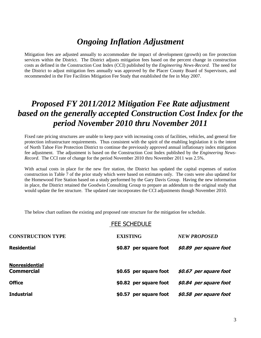## *Ongoing Inflation Adjustment*

Mitigation fees are adjusted annually to accommodate the impact of development (growth) on fire protection services within the District. The District adjusts mitigation fees based on the percent change in construction costs as defined in the Construction Cost Index (CCI) published by the *Engineering News-Record.* The need for the District to adjust mitigation fees annually was approved by the Placer County Board of Supervisors, and recommended in the Fire Facilities Mitigation Fee Study that established the fee in May 2007.

## *Proposed FY 2011/2012 Mitigation Fee Rate adjustment based on the generally accepted Construction Cost Index for the period November 2010 thru November 2011*

Fixed rate pricing structures are unable to keep pace with increasing costs of facilities, vehicles, and general fire protection infrastructure requirements. Thus consistent with the spirit of the enabling legislation it is the intent of North Tahoe Fire Protection District to continue the previously approved annual inflationary index mitigation fee adjustment. The adjustment is based on the Construction Cost Index published by the *Engineering News-Record*. The CCI rate of change for the period November 2010 thru November 2011 was 2.5%.

With actual costs in place for the new fire station, the District has updated the capital expenses of station construction in Table 7 of the prior study which were based on estimates only. The costs were also updated for the Homewood Fire Station based on a study performed by the Gary Davis Group. Having the new information in place, the District retained the Goodwin Consulting Group to prepare an addendum to the original study that would update the fee structure. The updated rate incorporates the CCI adjustments though November 2010.

The below chart outlines the existing and proposed rate structure for the mitigation fee schedule.

#### FEE SCHEDULE

| <b>CONSTRUCTION TYPE</b>                   | <b>EXISTING</b>           | <b>NEW PROPOSED</b>    |
|--------------------------------------------|---------------------------|------------------------|
| <b>Residential</b>                         | \$0.87 per square foot    | \$0.89 per square foot |
| <b>Nonresidential</b><br><b>Commercial</b> | \$0.65 per square foot    | \$0.67 per square foot |
| <b>Office</b>                              | \$0.82 per square foot    | \$0.84 per square foot |
| <b>Industrial</b>                          | per square foot<br>\$0.57 | \$0.58 per square foot |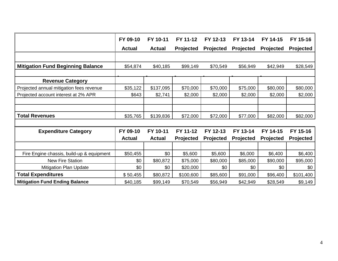|                                           | FY 09-10      | FY 10-11      | FY 11-12         | FY 12-13         | FY 13-14         | FY 14-15         | FY 15-16         |
|-------------------------------------------|---------------|---------------|------------------|------------------|------------------|------------------|------------------|
|                                           | <b>Actual</b> | <b>Actual</b> | <b>Projected</b> | <b>Projected</b> | <b>Projected</b> | <b>Projected</b> | <b>Projected</b> |
|                                           |               |               |                  |                  |                  |                  |                  |
| <b>Mitigation Fund Beginning Balance</b>  | \$54,874      | \$40,185      | \$99,149         | \$70,549         | \$56,949         | \$42,949         | \$28,549         |
|                                           |               |               |                  |                  |                  |                  |                  |
| <b>Revenue Category</b>                   |               |               |                  |                  |                  |                  |                  |
| Projected annual mitigation fees revenue  | \$35,122      | \$137,095     | \$70,000         | \$70,000         | \$75,000         | \$80,000         | \$80,000         |
| Projected account interest at 2% APR      | \$643         | \$2,741       | \$2,000          | \$2,000          | \$2,000          | \$2,000          | \$2,000          |
|                                           |               |               |                  |                  |                  |                  |                  |
|                                           |               |               |                  |                  |                  |                  |                  |
| <b>Total Revenues</b>                     | \$35,765      | \$139,836     | \$72,000         | \$72,000         | \$77,000         | \$82,000         | \$82,000         |
|                                           |               |               |                  |                  |                  |                  |                  |
| <b>Expenditure Category</b>               | FY 09-10      | FY 10-11      | FY 11-12         | FY 12-13         | FY 13-14         | FY 14-15         | FY 15-16         |
|                                           | <b>Actual</b> | <b>Actual</b> | Projected        | <b>Projected</b> | <b>Projected</b> | Projected        | Projected        |
|                                           |               |               |                  |                  |                  |                  |                  |
| Fire Engine chassis, build-up & equipment | \$50,455      | \$0           | \$5,600          | \$5,600          | \$6,000          | \$6,400          | \$6,400          |
| <b>New Fire Station</b>                   | \$0           | \$80,872      | \$75,000         | \$80,000         | \$85,000         | \$90,000         | \$95,000         |
| <b>Mitigation Plan Update</b>             | \$0           | \$0           | \$20,000         | \$0              | \$0              | \$0              | \$0              |
| <b>Total Expenditures</b>                 | \$50,455      | \$80,872      | \$100,600        | \$85,600         | \$91,000         | \$96,400         | \$101,400        |
| <b>Mitigation Fund Ending Balance</b>     | \$40,185      | \$99,149      | \$70,549         | \$56,949         | \$42,949         | \$28,549         | \$9,149          |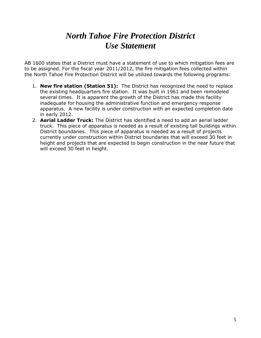## *North Tahoe Fire Protection District Use Statement*

AB 1600 states that a District must have a statement of use to which mitigation fees are to be assigned. For the fiscal year 2011/2012, the fire mitigation fees collected within the North Tahoe Fire Protection District will be utilized towards the following programs:

- 1. **New fire station (Station 51):** The District has recognized the need to replace the existing headquarters fire station. It was built in 1961 and been remodeled several times. It is apparent the growth of the District has made this facility inadequate for housing the administrative function and emergency response apparatus. A new facility is under construction with an expected completion date in early 2012.
- 2. **Aerial Ladder Truck:** The District has identified a need to add an aerial ladder truck. This piece of apparatus is needed as a result of existing tall buildings within District boundaries. This piece of apparatus is needed as a result of projects currently under construction within District boundaries that will exceed 30 feet in height and projects that are expected to begin construction in the near future that will exceed 30 feet in height.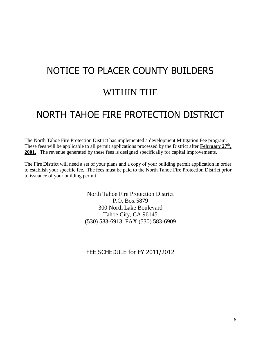# NOTICE TO PLACER COUNTY BUILDERS WITHIN THE

## NORTH TAHOE FIRE PROTECTION DISTRICT

The North Tahoe Fire Protection District has implemented a development Mitigation Fee program. These fees will be applicable to all permit applications processed by the District after **February 27th , 2001.** The revenue generated by these fees is designed specifically for capital improvements.

The Fire District will need a set of your plans and a copy of your building permit application in order to establish your specific fee. The fees must be paid to the North Tahoe Fire Protection District prior to issuance of your building permit.

> North Tahoe Fire Protection District P.O. Box 5879 300 North Lake Boulevard Tahoe City, CA 96145 (530) 583-6913 FAX (530) 583-6909

FEE SCHEDULE for FY 2011/2012